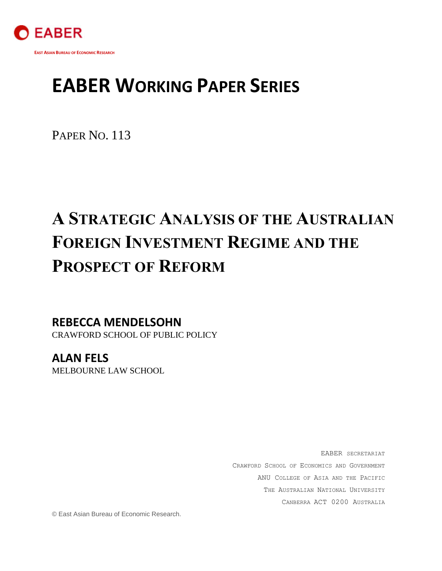

# **EABER WORKING PAPER SERIES**

PAPER NO. 113

# **A STRATEGIC ANALYSIS OF THE AUSTRALIAN FOREIGN INVESTMENT REGIME AND THE PROSPECT OF REFORM**

**REBECCA MENDELSOHN** CRAWFORD SCHOOL OF PUBLIC POLICY

**ALAN FELS** MELBOURNE LAW SCHOOL

> EABER SECRETARIAT CRAWFORD SCHOOL OF ECONOMICS AND GOVERNMENT ANU COLLEGE OF ASIA AND THE PACIFIC THE AUSTRALIAN NATIONAL UNIVERSITY CANBERRA ACT 0200 AUSTRALIA

© East Asian Bureau of Economic Research.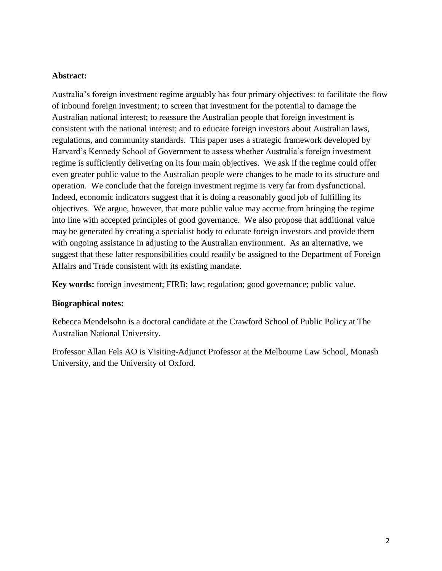### **Abstract:**

Australia's foreign investment regime arguably has four primary objectives: to facilitate the flow of inbound foreign investment; to screen that investment for the potential to damage the Australian national interest; to reassure the Australian people that foreign investment is consistent with the national interest; and to educate foreign investors about Australian laws, regulations, and community standards. This paper uses a strategic framework developed by Harvard's Kennedy School of Government to assess whether Australia's foreign investment regime is sufficiently delivering on its four main objectives. We ask if the regime could offer even greater public value to the Australian people were changes to be made to its structure and operation. We conclude that the foreign investment regime is very far from dysfunctional. Indeed, economic indicators suggest that it is doing a reasonably good job of fulfilling its objectives. We argue, however, that more public value may accrue from bringing the regime into line with accepted principles of good governance. We also propose that additional value may be generated by creating a specialist body to educate foreign investors and provide them with ongoing assistance in adjusting to the Australian environment. As an alternative, we suggest that these latter responsibilities could readily be assigned to the Department of Foreign Affairs and Trade consistent with its existing mandate.

**Key words:** foreign investment; FIRB; law; regulation; good governance; public value.

#### **Biographical notes:**

Rebecca Mendelsohn is a doctoral candidate at the Crawford School of Public Policy at The Australian National University.

Professor Allan Fels AO is Visiting-Adjunct Professor at the Melbourne Law School, Monash University, and the University of Oxford.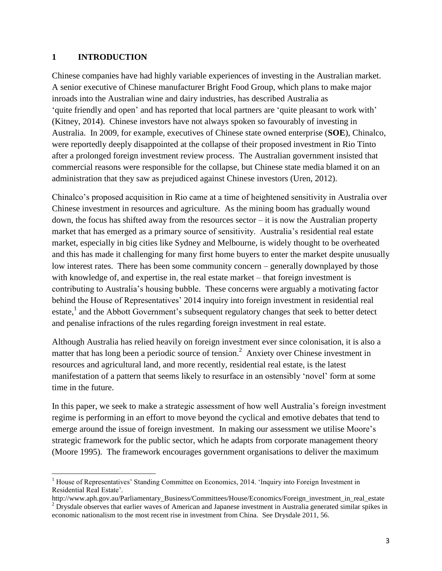#### **1 INTRODUCTION**

Chinese companies have had highly variable experiences of investing in the Australian market. A senior executive of Chinese manufacturer Bright Food Group, which plans to make major inroads into the Australian wine and dairy industries, has described Australia as 'quite friendly and open' and has reported that local partners are 'quite pleasant to work with' (Kitney, 2014). Chinese investors have not always spoken so favourably of investing in Australia. In 2009, for example, executives of Chinese state owned enterprise (**SOE**), Chinalco, were reportedly deeply disappointed at the collapse of their proposed investment in Rio Tinto after a prolonged foreign investment review process. The Australian government insisted that commercial reasons were responsible for the collapse, but Chinese state media blamed it on an administration that they saw as prejudiced against Chinese investors (Uren, 2012).

Chinalco's proposed acquisition in Rio came at a time of heightened sensitivity in Australia over Chinese investment in resources and agriculture. As the mining boom has gradually wound down, the focus has shifted away from the resources sector – it is now the Australian property market that has emerged as a primary source of sensitivity. Australia's residential real estate market, especially in big cities like Sydney and Melbourne, is widely thought to be overheated and this has made it challenging for many first home buyers to enter the market despite unusually low interest rates. There has been some community concern – generally downplayed by those with knowledge of, and expertise in, the real estate market – that foreign investment is contributing to Australia's housing bubble. These concerns were arguably a motivating factor behind the House of Representatives' 2014 inquiry into foreign investment in residential real estate,<sup>1</sup> and the Abbott Government's subsequent regulatory changes that seek to better detect and penalise infractions of the rules regarding foreign investment in real estate.

Although Australia has relied heavily on foreign investment ever since colonisation, it is also a matter that has long been a periodic source of tension.<sup>2</sup> Anxiety over Chinese investment in resources and agricultural land, and more recently, residential real estate, is the latest manifestation of a pattern that seems likely to resurface in an ostensibly 'novel' form at some time in the future.

In this paper, we seek to make a strategic assessment of how well Australia's foreign investment regime is performing in an effort to move beyond the cyclical and emotive debates that tend to emerge around the issue of foreign investment. In making our assessment we utilise Moore's strategic framework for the public sector, which he adapts from corporate management theory (Moore 1995). The framework encourages government organisations to deliver the maximum

 $\overline{a}$ <sup>1</sup> House of Representatives' Standing Committee on Economics, 2014. 'Inquiry into Foreign Investment in Residential Real Estate'.

http://www.aph.gov.au/Parliamentary\_Business/Committees/House/Economics/Foreign\_investment\_in\_real\_estate <sup>2</sup> Drysdale observes that earlier waves of American and Japanese investment in Australia generated similar spikes in economic nationalism to the most recent rise in investment from China. See Drysdale 2011, 56.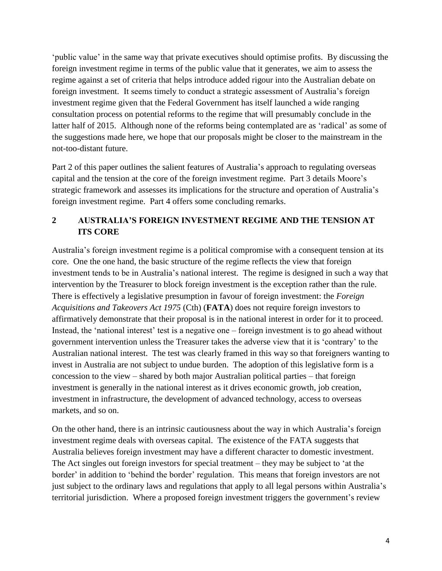'public value' in the same way that private executives should optimise profits. By discussing the foreign investment regime in terms of the public value that it generates, we aim to assess the regime against a set of criteria that helps introduce added rigour into the Australian debate on foreign investment. It seems timely to conduct a strategic assessment of Australia's foreign investment regime given that the Federal Government has itself launched a wide ranging consultation process on potential reforms to the regime that will presumably conclude in the latter half of 2015. Although none of the reforms being contemplated are as 'radical' as some of the suggestions made here, we hope that our proposals might be closer to the mainstream in the not-too-distant future.

Part 2 of this paper outlines the salient features of Australia's approach to regulating overseas capital and the tension at the core of the foreign investment regime. Part 3 details Moore's strategic framework and assesses its implications for the structure and operation of Australia's foreign investment regime. Part 4 offers some concluding remarks.

# **2 AUSTRALIA'S FOREIGN INVESTMENT REGIME AND THE TENSION AT ITS CORE**

Australia's foreign investment regime is a political compromise with a consequent tension at its core. One the one hand, the basic structure of the regime reflects the view that foreign investment tends to be in Australia's national interest. The regime is designed in such a way that intervention by the Treasurer to block foreign investment is the exception rather than the rule. There is effectively a legislative presumption in favour of foreign investment: the *Foreign Acquisitions and Takeovers Act 1975* (Cth) (**FATA**) does not require foreign investors to affirmatively demonstrate that their proposal is in the national interest in order for it to proceed. Instead, the 'national interest' test is a negative one – foreign investment is to go ahead without government intervention unless the Treasurer takes the adverse view that it is 'contrary' to the Australian national interest. The test was clearly framed in this way so that foreigners wanting to invest in Australia are not subject to undue burden. The adoption of this legislative form is a concession to the view – shared by both major Australian political parties – that foreign investment is generally in the national interest as it drives economic growth, job creation, investment in infrastructure, the development of advanced technology, access to overseas markets, and so on.

On the other hand, there is an intrinsic cautiousness about the way in which Australia's foreign investment regime deals with overseas capital. The existence of the FATA suggests that Australia believes foreign investment may have a different character to domestic investment. The Act singles out foreign investors for special treatment – they may be subject to 'at the border' in addition to 'behind the border' regulation. This means that foreign investors are not just subject to the ordinary laws and regulations that apply to all legal persons within Australia's territorial jurisdiction. Where a proposed foreign investment triggers the government's review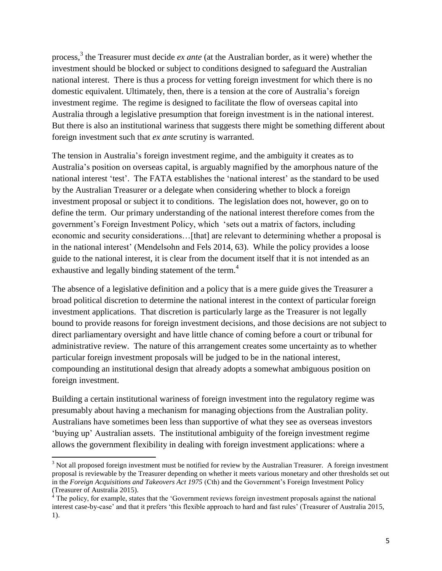process, 3 the Treasurer must decide *ex ante* (at the Australian border, as it were) whether the investment should be blocked or subject to conditions designed to safeguard the Australian national interest. There is thus a process for vetting foreign investment for which there is no domestic equivalent. Ultimately, then, there is a tension at the core of Australia's foreign investment regime. The regime is designed to facilitate the flow of overseas capital into Australia through a legislative presumption that foreign investment is in the national interest. But there is also an institutional wariness that suggests there might be something different about foreign investment such that *ex ante* scrutiny is warranted.

The tension in Australia's foreign investment regime, and the ambiguity it creates as to Australia's position on overseas capital, is arguably magnified by the amorphous nature of the national interest 'test'. The FATA establishes the 'national interest' as the standard to be used by the Australian Treasurer or a delegate when considering whether to block a foreign investment proposal or subject it to conditions. The legislation does not, however, go on to define the term. Our primary understanding of the national interest therefore comes from the government's Foreign Investment Policy, which 'sets out a matrix of factors, including economic and security considerations...[that] are relevant to determining whether a proposal is in the national interest' (Mendelsohn and Fels 2014, 63). While the policy provides a loose guide to the national interest, it is clear from the document itself that it is not intended as an exhaustive and legally binding statement of the term.<sup>4</sup>

The absence of a legislative definition and a policy that is a mere guide gives the Treasurer a broad political discretion to determine the national interest in the context of particular foreign investment applications. That discretion is particularly large as the Treasurer is not legally bound to provide reasons for foreign investment decisions, and those decisions are not subject to direct parliamentary oversight and have little chance of coming before a court or tribunal for administrative review. The nature of this arrangement creates some uncertainty as to whether particular foreign investment proposals will be judged to be in the national interest, compounding an institutional design that already adopts a somewhat ambiguous position on foreign investment.

Building a certain institutional wariness of foreign investment into the regulatory regime was presumably about having a mechanism for managing objections from the Australian polity. Australians have sometimes been less than supportive of what they see as overseas investors 'buying up' Australian assets. The institutional ambiguity of the foreign investment regime allows the government flexibility in dealing with foreign investment applications: where a

 $\overline{\phantom{a}}$ 

 $3$  Not all proposed foreign investment must be notified for review by the Australian Treasurer. A foreign investment proposal is reviewable by the Treasurer depending on whether it meets various monetary and other thresholds set out in the *Foreign Acquisitions and Takeovers Act 1975* (Cth) and the Government's Foreign Investment Policy (Treasurer of Australia 2015).

 $4<sup>4</sup>$  The policy, for example, states that the 'Government reviews foreign investment proposals against the national interest case-by-case' and that it prefers 'this flexible approach to hard and fast rules' (Treasurer of Australia 2015, 1).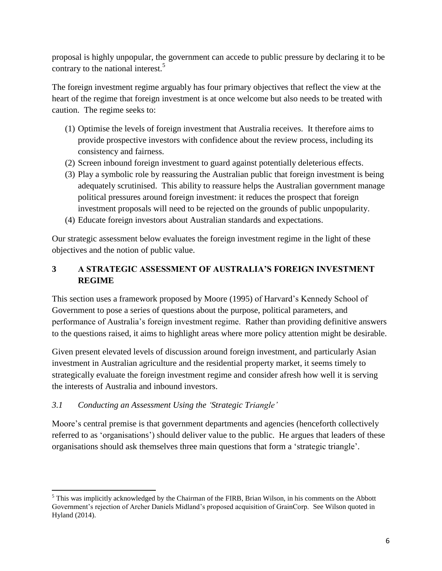proposal is highly unpopular, the government can accede to public pressure by declaring it to be contrary to the national interest.<sup>5</sup>

The foreign investment regime arguably has four primary objectives that reflect the view at the heart of the regime that foreign investment is at once welcome but also needs to be treated with caution. The regime seeks to:

- (1) Optimise the levels of foreign investment that Australia receives. It therefore aims to provide prospective investors with confidence about the review process, including its consistency and fairness.
- (2) Screen inbound foreign investment to guard against potentially deleterious effects.
- (3) Play a symbolic role by reassuring the Australian public that foreign investment is being adequately scrutinised. This ability to reassure helps the Australian government manage political pressures around foreign investment: it reduces the prospect that foreign investment proposals will need to be rejected on the grounds of public unpopularity.
- (4) Educate foreign investors about Australian standards and expectations.

Our strategic assessment below evaluates the foreign investment regime in the light of these objectives and the notion of public value.

# **3 A STRATEGIC ASSESSMENT OF AUSTRALIA'S FOREIGN INVESTMENT REGIME**

This section uses a framework proposed by Moore (1995) of Harvard's Kennedy School of Government to pose a series of questions about the purpose, political parameters, and performance of Australia's foreign investment regime. Rather than providing definitive answers to the questions raised, it aims to highlight areas where more policy attention might be desirable.

Given present elevated levels of discussion around foreign investment, and particularly Asian investment in Australian agriculture and the residential property market, it seems timely to strategically evaluate the foreign investment regime and consider afresh how well it is serving the interests of Australia and inbound investors.

# *3.1 Conducting an Assessment Using the 'Strategic Triangle'*

 $\overline{\phantom{a}}$ 

Moore's central premise is that government departments and agencies (henceforth collectively referred to as 'organisations') should deliver value to the public. He argues that leaders of these organisations should ask themselves three main questions that form a 'strategic triangle'.

<sup>&</sup>lt;sup>5</sup> This was implicitly acknowledged by the Chairman of the FIRB, Brian Wilson, in his comments on the Abbott Government's rejection of Archer Daniels Midland's proposed acquisition of GrainCorp. See Wilson quoted in Hyland (2014).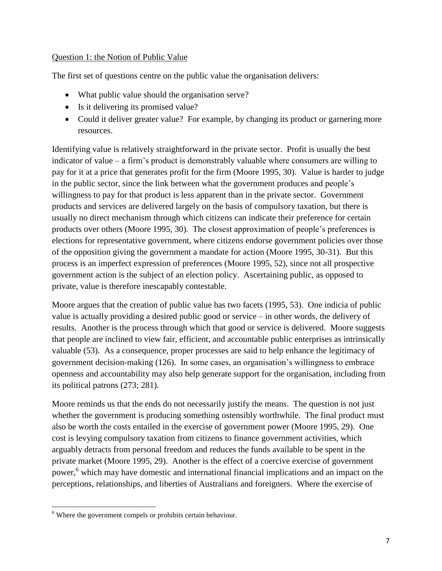## Question 1: the Notion of Public Value

The first set of questions centre on the public value the organisation delivers:

- What public value should the organisation serve?
- Is it delivering its promised value?
- Could it deliver greater value? For example, by changing its product or garnering more resources.

Identifying value is relatively straightforward in the private sector. Profit is usually the best indicator of value – a firm's product is demonstrably valuable where consumers are willing to pay for it at a price that generates profit for the firm (Moore 1995, 30). Value is harder to judge in the public sector, since the link between what the government produces and people's willingness to pay for that product is less apparent than in the private sector. Government products and services are delivered largely on the basis of compulsory taxation, but there is usually no direct mechanism through which citizens can indicate their preference for certain products over others (Moore 1995, 30). The closest approximation of people's preferences is elections for representative government, where citizens endorse government policies over those of the opposition giving the government a mandate for action (Moore 1995, 30-31). But this process is an imperfect expression of preferences (Moore 1995, 52), since not all prospective government action is the subject of an election policy. Ascertaining public, as opposed to private, value is therefore inescapably contestable.

Moore argues that the creation of public value has two facets (1995, 53). One indicia of public value is actually providing a desired public good or service – in other words, the delivery of results. Another is the process through which that good or service is delivered. Moore suggests that people are inclined to view fair, efficient, and accountable public enterprises as intrinsically valuable (53). As a consequence, proper processes are said to help enhance the legitimacy of government decision-making (126). In some cases, an organisation's willingness to embrace openness and accountability may also help generate support for the organisation, including from its political patrons (273; 281).

Moore reminds us that the ends do not necessarily justify the means. The question is not just whether the government is producing something ostensibly worthwhile. The final product must also be worth the costs entailed in the exercise of government power (Moore 1995, 29). One cost is levying compulsory taxation from citizens to finance government activities, which arguably detracts from personal freedom and reduces the funds available to be spent in the private market (Moore 1995, 29). Another is the effect of a coercive exercise of government power,<sup>6</sup> which may have domestic and international financial implications and an impact on the perceptions, relationships, and liberties of Australians and foreigners. Where the exercise of

 $\overline{\phantom{a}}$ <sup>6</sup> Where the government compels or prohibits certain behaviour.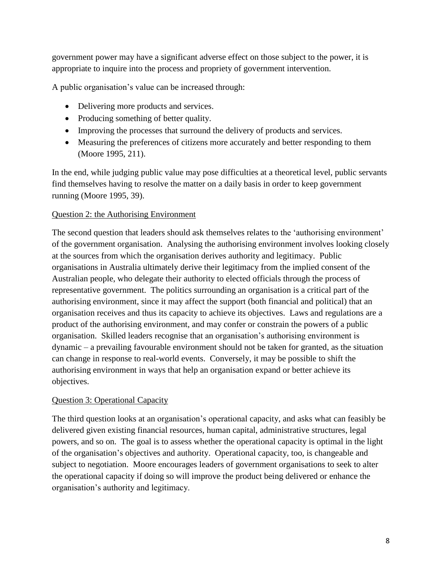government power may have a significant adverse effect on those subject to the power, it is appropriate to inquire into the process and propriety of government intervention.

A public organisation's value can be increased through:

- Delivering more products and services.
- Producing something of better quality.
- Improving the processes that surround the delivery of products and services.
- Measuring the preferences of citizens more accurately and better responding to them (Moore 1995, 211).

In the end, while judging public value may pose difficulties at a theoretical level, public servants find themselves having to resolve the matter on a daily basis in order to keep government running (Moore 1995, 39).

## Question 2: the Authorising Environment

The second question that leaders should ask themselves relates to the 'authorising environment' of the government organisation. Analysing the authorising environment involves looking closely at the sources from which the organisation derives authority and legitimacy. Public organisations in Australia ultimately derive their legitimacy from the implied consent of the Australian people, who delegate their authority to elected officials through the process of representative government. The politics surrounding an organisation is a critical part of the authorising environment, since it may affect the support (both financial and political) that an organisation receives and thus its capacity to achieve its objectives. Laws and regulations are a product of the authorising environment, and may confer or constrain the powers of a public organisation. Skilled leaders recognise that an organisation's authorising environment is dynamic – a prevailing favourable environment should not be taken for granted, as the situation can change in response to real-world events. Conversely, it may be possible to shift the authorising environment in ways that help an organisation expand or better achieve its objectives.

## Question 3: Operational Capacity

The third question looks at an organisation's operational capacity, and asks what can feasibly be delivered given existing financial resources, human capital, administrative structures, legal powers, and so on. The goal is to assess whether the operational capacity is optimal in the light of the organisation's objectives and authority. Operational capacity, too, is changeable and subject to negotiation. Moore encourages leaders of government organisations to seek to alter the operational capacity if doing so will improve the product being delivered or enhance the organisation's authority and legitimacy.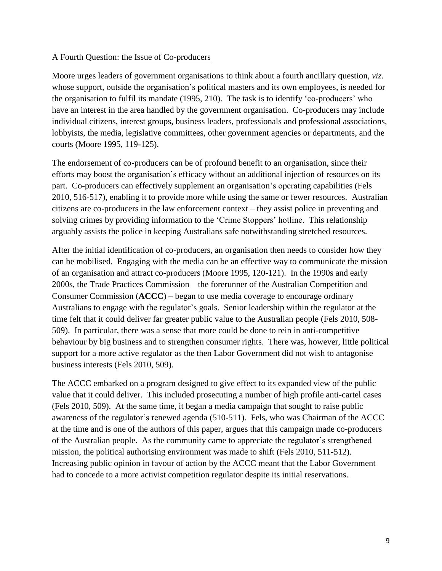#### A Fourth Question: the Issue of Co-producers

Moore urges leaders of government organisations to think about a fourth ancillary question, *viz.* whose support, outside the organisation's political masters and its own employees, is needed for the organisation to fulfil its mandate (1995, 210). The task is to identify 'co-producers' who have an interest in the area handled by the government organisation. Co-producers may include individual citizens, interest groups, business leaders, professionals and professional associations, lobbyists, the media, legislative committees, other government agencies or departments, and the courts (Moore 1995, 119-125).

The endorsement of co-producers can be of profound benefit to an organisation, since their efforts may boost the organisation's efficacy without an additional injection of resources on its part. Co-producers can effectively supplement an organisation's operating capabilities (Fels 2010, 516-517), enabling it to provide more while using the same or fewer resources. Australian citizens are co-producers in the law enforcement context – they assist police in preventing and solving crimes by providing information to the 'Crime Stoppers' hotline. This relationship arguably assists the police in keeping Australians safe notwithstanding stretched resources.

After the initial identification of co-producers, an organisation then needs to consider how they can be mobilised. Engaging with the media can be an effective way to communicate the mission of an organisation and attract co-producers (Moore 1995, 120-121). In the 1990s and early 2000s, the Trade Practices Commission – the forerunner of the Australian Competition and Consumer Commission (**ACCC**) – began to use media coverage to encourage ordinary Australians to engage with the regulator's goals. Senior leadership within the regulator at the time felt that it could deliver far greater public value to the Australian people (Fels 2010, 508- 509). In particular, there was a sense that more could be done to rein in anti-competitive behaviour by big business and to strengthen consumer rights. There was, however, little political support for a more active regulator as the then Labor Government did not wish to antagonise business interests (Fels 2010, 509).

The ACCC embarked on a program designed to give effect to its expanded view of the public value that it could deliver. This included prosecuting a number of high profile anti-cartel cases (Fels 2010, 509). At the same time, it began a media campaign that sought to raise public awareness of the regulator's renewed agenda (510-511). Fels, who was Chairman of the ACCC at the time and is one of the authors of this paper, argues that this campaign made co-producers of the Australian people. As the community came to appreciate the regulator's strengthened mission, the political authorising environment was made to shift (Fels 2010, 511-512). Increasing public opinion in favour of action by the ACCC meant that the Labor Government had to concede to a more activist competition regulator despite its initial reservations.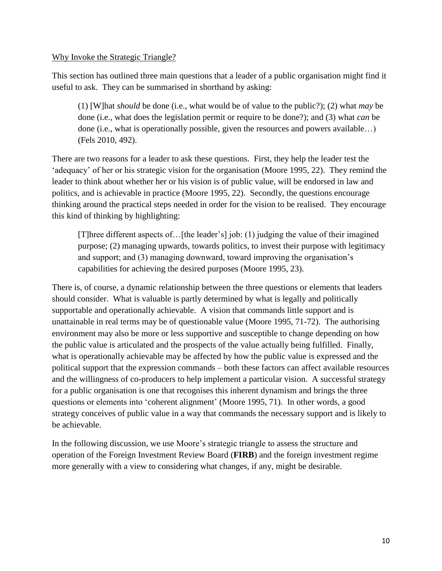#### Why Invoke the Strategic Triangle?

This section has outlined three main questions that a leader of a public organisation might find it useful to ask. They can be summarised in shorthand by asking:

(1) [W]hat *should* be done (i.e., what would be of value to the public?); (2) what *may* be done (i.e., what does the legislation permit or require to be done?); and (3) what *can* be done (i.e., what is operationally possible, given the resources and powers available…) (Fels 2010, 492).

There are two reasons for a leader to ask these questions. First, they help the leader test the 'adequacy' of her or his strategic vision for the organisation (Moore 1995, 22). They remind the leader to think about whether her or his vision is of public value, will be endorsed in law and politics, and is achievable in practice (Moore 1995, 22). Secondly, the questions encourage thinking around the practical steps needed in order for the vision to be realised. They encourage this kind of thinking by highlighting:

[T]hree different aspects of…[the leader's] job: (1) judging the value of their imagined purpose; (2) managing upwards, towards politics, to invest their purpose with legitimacy and support; and (3) managing downward, toward improving the organisation's capabilities for achieving the desired purposes (Moore 1995, 23).

There is, of course, a dynamic relationship between the three questions or elements that leaders should consider. What is valuable is partly determined by what is legally and politically supportable and operationally achievable. A vision that commands little support and is unattainable in real terms may be of questionable value (Moore 1995, 71-72). The authorising environment may also be more or less supportive and susceptible to change depending on how the public value is articulated and the prospects of the value actually being fulfilled. Finally, what is operationally achievable may be affected by how the public value is expressed and the political support that the expression commands – both these factors can affect available resources and the willingness of co-producers to help implement a particular vision. A successful strategy for a public organisation is one that recognises this inherent dynamism and brings the three questions or elements into 'coherent alignment' (Moore 1995, 71). In other words, a good strategy conceives of public value in a way that commands the necessary support and is likely to be achievable.

In the following discussion, we use Moore's strategic triangle to assess the structure and operation of the Foreign Investment Review Board (**FIRB**) and the foreign investment regime more generally with a view to considering what changes, if any, might be desirable.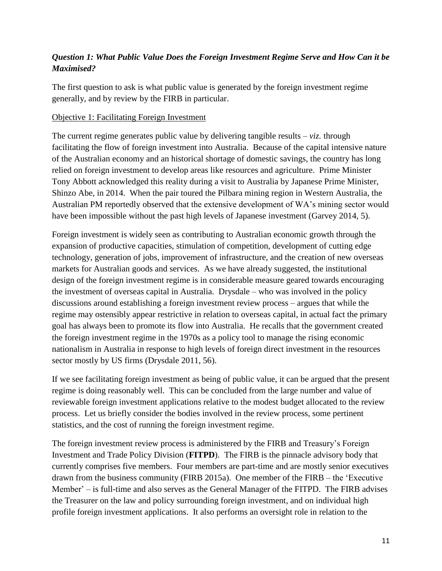# *Question 1: What Public Value Does the Foreign Investment Regime Serve and How Can it be Maximised?*

The first question to ask is what public value is generated by the foreign investment regime generally, and by review by the FIRB in particular.

## Objective 1: Facilitating Foreign Investment

The current regime generates public value by delivering tangible results – *viz.* through facilitating the flow of foreign investment into Australia. Because of the capital intensive nature of the Australian economy and an historical shortage of domestic savings, the country has long relied on foreign investment to develop areas like resources and agriculture. Prime Minister Tony Abbott acknowledged this reality during a visit to Australia by Japanese Prime Minister, Shinzo Abe, in 2014. When the pair toured the Pilbara mining region in Western Australia, the Australian PM reportedly observed that the extensive development of WA's mining sector would have been impossible without the past high levels of Japanese investment (Garvey 2014, 5).

Foreign investment is widely seen as contributing to Australian economic growth through the expansion of productive capacities, stimulation of competition, development of cutting edge technology, generation of jobs, improvement of infrastructure, and the creation of new overseas markets for Australian goods and services. As we have already suggested, the institutional design of the foreign investment regime is in considerable measure geared towards encouraging the investment of overseas capital in Australia. Drysdale – who was involved in the policy discussions around establishing a foreign investment review process – argues that while the regime may ostensibly appear restrictive in relation to overseas capital, in actual fact the primary goal has always been to promote its flow into Australia. He recalls that the government created the foreign investment regime in the 1970s as a policy tool to manage the rising economic nationalism in Australia in response to high levels of foreign direct investment in the resources sector mostly by US firms (Drysdale 2011, 56).

If we see facilitating foreign investment as being of public value, it can be argued that the present regime is doing reasonably well. This can be concluded from the large number and value of reviewable foreign investment applications relative to the modest budget allocated to the review process. Let us briefly consider the bodies involved in the review process, some pertinent statistics, and the cost of running the foreign investment regime.

The foreign investment review process is administered by the FIRB and Treasury's Foreign Investment and Trade Policy Division (**FITPD**). The FIRB is the pinnacle advisory body that currently comprises five members. Four members are part-time and are mostly senior executives drawn from the business community (FIRB 2015a). One member of the FIRB – the 'Executive Member' – is full-time and also serves as the General Manager of the FITPD. The FIRB advises the Treasurer on the law and policy surrounding foreign investment, and on individual high profile foreign investment applications. It also performs an oversight role in relation to the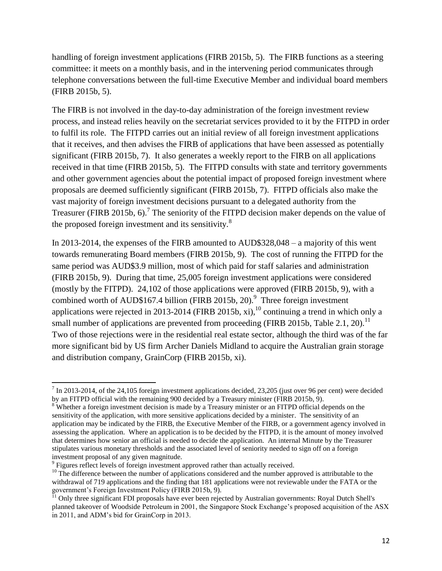handling of foreign investment applications (FIRB 2015b, 5). The FIRB functions as a steering committee: it meets on a monthly basis, and in the intervening period communicates through telephone conversations between the full-time Executive Member and individual board members (FIRB 2015b, 5).

The FIRB is not involved in the day-to-day administration of the foreign investment review process, and instead relies heavily on the secretariat services provided to it by the FITPD in order to fulfil its role. The FITPD carries out an initial review of all foreign investment applications that it receives, and then advises the FIRB of applications that have been assessed as potentially significant (FIRB 2015b, 7). It also generates a weekly report to the FIRB on all applications received in that time (FIRB 2015b, 5). The FITPD consults with state and territory governments and other government agencies about the potential impact of proposed foreign investment where proposals are deemed sufficiently significant (FIRB 2015b, 7). FITPD officials also make the vast majority of foreign investment decisions pursuant to a delegated authority from the Treasurer (FIRB 2015b, 6).<sup>7</sup> The seniority of the FITPD decision maker depends on the value of the proposed foreign investment and its sensitivity.<sup>8</sup>

In 2013-2014, the expenses of the FIRB amounted to AUD\$328,048 – a majority of this went towards remunerating Board members (FIRB 2015b, 9). The cost of running the FITPD for the same period was AUD\$3.9 million, most of which paid for staff salaries and administration (FIRB 2015b, 9). During that time, 25,005 foreign investment applications were considered (mostly by the FITPD). 24,102 of those applications were approved (FIRB 2015b, 9), with a combined worth of AUD\$167.4 billion (FIRB 2015b, 20). $^9$  Three foreign investment applications were rejected in 2013-2014 (FIRB 2015b, xi),  $^{10}$  continuing a trend in which only a small number of applications are prevented from proceeding (FIRB 2015b, Table 2.1, 20).<sup>11</sup> Two of those rejections were in the residential real estate sector, although the third was of the far more significant bid by US firm Archer Daniels Midland to acquire the Australian grain storage and distribution company, GrainCorp (FIRB 2015b, xi).

 $\overline{\phantom{a}}$  $<sup>7</sup>$  In 2013-2014, of the 24,105 foreign investment applications decided, 23,205 (just over 96 per cent) were decided</sup> by an FITPD official with the remaining 900 decided by a Treasury minister (FIRB 2015b, 9).

<sup>&</sup>lt;sup>8</sup> Whether a foreign investment decision is made by a Treasury minister or an FITPD official depends on the sensitivity of the application, with more sensitive applications decided by a minister. The sensitivity of an application may be indicated by the FIRB, the Executive Member of the FIRB, or a government agency involved in assessing the application. Where an application is to be decided by the FITPD, it is the amount of money involved that determines how senior an official is needed to decide the application. An internal Minute by the Treasurer stipulates various monetary thresholds and the associated level of seniority needed to sign off on a foreign investment proposal of any given magnitude.

<sup>&</sup>lt;sup>9</sup> Figures reflect levels of foreign investment approved rather than actually received.

<sup>&</sup>lt;sup>10</sup> The difference between the number of applications considered and the number approved is attributable to the withdrawal of 719 applications and the finding that 181 applications were not reviewable under the FATA or the government's Foreign Investment Policy (FIRB 2015b, 9).

<sup>&</sup>lt;sup>11</sup> Only three significant FDI proposals have ever been rejected by Australian governments: Royal Dutch Shell's planned takeover of Woodside Petroleum in 2001, the Singapore Stock Exchange's proposed acquisition of the ASX in 2011, and ADM's bid for GrainCorp in 2013.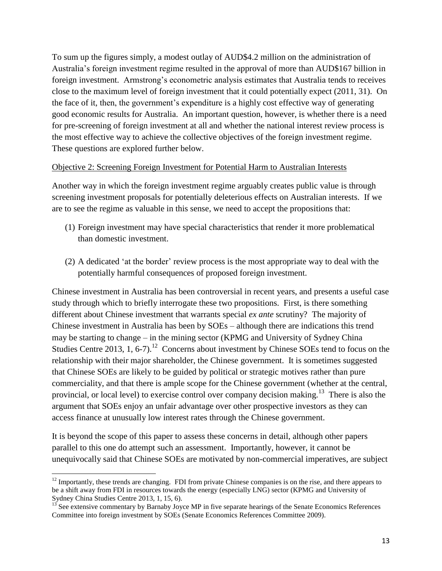To sum up the figures simply, a modest outlay of AUD\$4.2 million on the administration of Australia's foreign investment regime resulted in the approval of more than AUD\$167 billion in foreign investment. Armstrong's econometric analysis estimates that Australia tends to receives close to the maximum level of foreign investment that it could potentially expect (2011, 31). On the face of it, then, the government's expenditure is a highly cost effective way of generating good economic results for Australia. An important question, however, is whether there is a need for pre-screening of foreign investment at all and whether the national interest review process is the most effective way to achieve the collective objectives of the foreign investment regime. These questions are explored further below.

#### Objective 2: Screening Foreign Investment for Potential Harm to Australian Interests

Another way in which the foreign investment regime arguably creates public value is through screening investment proposals for potentially deleterious effects on Australian interests. If we are to see the regime as valuable in this sense, we need to accept the propositions that:

- (1) Foreign investment may have special characteristics that render it more problematical than domestic investment.
- (2) A dedicated 'at the border' review process is the most appropriate way to deal with the potentially harmful consequences of proposed foreign investment.

Chinese investment in Australia has been controversial in recent years, and presents a useful case study through which to briefly interrogate these two propositions. First, is there something different about Chinese investment that warrants special *ex ante* scrutiny? The majority of Chinese investment in Australia has been by SOEs – although there are indications this trend may be starting to change – in the mining sector (KPMG and University of Sydney China Studies Centre 2013, 1, 6-7).<sup>12</sup> Concerns about investment by Chinese SOEs tend to focus on the relationship with their major shareholder, the Chinese government. It is sometimes suggested that Chinese SOEs are likely to be guided by political or strategic motives rather than pure commerciality, and that there is ample scope for the Chinese government (whether at the central, provincial, or local level) to exercise control over company decision making.<sup>13</sup> There is also the argument that SOEs enjoy an unfair advantage over other prospective investors as they can access finance at unusually low interest rates through the Chinese government.

It is beyond the scope of this paper to assess these concerns in detail, although other papers parallel to this one do attempt such an assessment. Importantly, however, it cannot be unequivocally said that Chinese SOEs are motivated by non-commercial imperatives, are subject

 $\overline{a}$  $12$  Importantly, these trends are changing. FDI from private Chinese companies is on the rise, and there appears to be a shift away from FDI in resources towards the energy (especially LNG) sector (KPMG and University of Sydney China Studies Centre 2013, 1, 15, 6).

 $13$  See extensive commentary by Barnaby Joyce MP in five separate hearings of the Senate Economics References Committee into foreign investment by SOEs (Senate Economics References Committee 2009).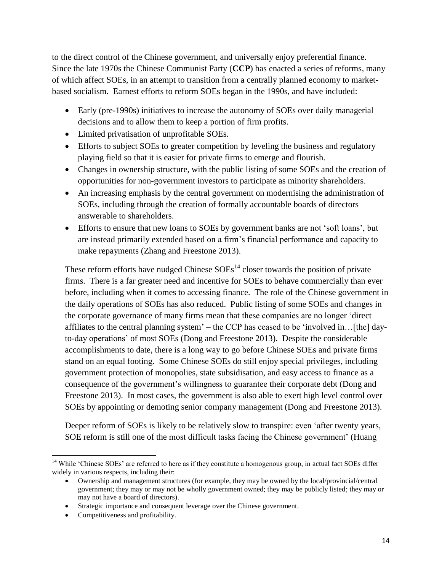to the direct control of the Chinese government, and universally enjoy preferential finance. Since the late 1970s the Chinese Communist Party (**CCP**) has enacted a series of reforms, many of which affect SOEs, in an attempt to transition from a centrally planned economy to marketbased socialism. Earnest efforts to reform SOEs began in the 1990s, and have included:

- Early (pre-1990s) initiatives to increase the autonomy of SOEs over daily managerial decisions and to allow them to keep a portion of firm profits.
- Limited privatisation of unprofitable SOEs.
- Efforts to subject SOEs to greater competition by leveling the business and regulatory playing field so that it is easier for private firms to emerge and flourish.
- Changes in ownership structure, with the public listing of some SOEs and the creation of opportunities for non-government investors to participate as minority shareholders.
- An increasing emphasis by the central government on modernising the administration of SOEs, including through the creation of formally accountable boards of directors answerable to shareholders.
- Efforts to ensure that new loans to SOEs by government banks are not 'soft loans', but are instead primarily extended based on a firm's financial performance and capacity to make repayments (Zhang and Freestone 2013).

These reform efforts have nudged Chinese  $SOEs<sup>14</sup>$  closer towards the position of private firms. There is a far greater need and incentive for SOEs to behave commercially than ever before, including when it comes to accessing finance. The role of the Chinese government in the daily operations of SOEs has also reduced. Public listing of some SOEs and changes in the corporate governance of many firms mean that these companies are no longer 'direct affiliates to the central planning system' – the CCP has ceased to be 'involved in…[the] dayto-day operations' of most SOEs (Dong and Freestone 2013). Despite the considerable accomplishments to date, there is a long way to go before Chinese SOEs and private firms stand on an equal footing. Some Chinese SOEs do still enjoy special privileges, including government protection of monopolies, state subsidisation, and easy access to finance as a consequence of the government's willingness to guarantee their corporate debt (Dong and Freestone 2013). In most cases, the government is also able to exert high level control over SOEs by appointing or demoting senior company management (Dong and Freestone 2013).

Deeper reform of SOEs is likely to be relatively slow to transpire: even 'after twenty years, SOE reform is still one of the most difficult tasks facing the Chinese government' (Huang

 $\overline{\phantom{a}}$ <sup>14</sup> While 'Chinese SOEs' are referred to here as if they constitute a homogenous group, in actual fact SOEs differ widely in various respects, including their:

Ownership and management structures (for example, they may be owned by the local/provincial/central government; they may or may not be wholly government owned; they may be publicly listed; they may or may not have a board of directors).

Strategic importance and consequent leverage over the Chinese government.

<sup>•</sup> Competitiveness and profitability.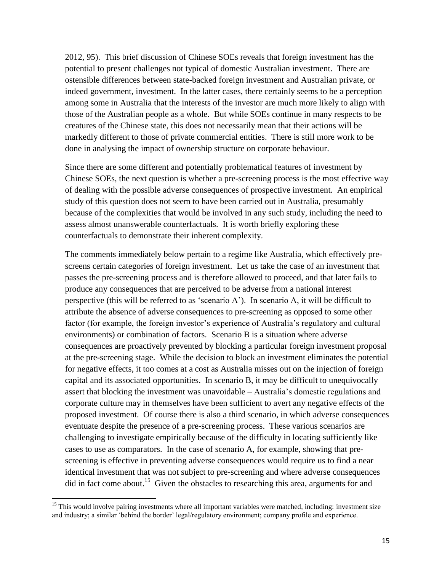2012, 95). This brief discussion of Chinese SOEs reveals that foreign investment has the potential to present challenges not typical of domestic Australian investment. There are ostensible differences between state-backed foreign investment and Australian private, or indeed government, investment. In the latter cases, there certainly seems to be a perception among some in Australia that the interests of the investor are much more likely to align with those of the Australian people as a whole. But while SOEs continue in many respects to be creatures of the Chinese state, this does not necessarily mean that their actions will be markedly different to those of private commercial entities. There is still more work to be done in analysing the impact of ownership structure on corporate behaviour.

Since there are some different and potentially problematical features of investment by Chinese SOEs, the next question is whether a pre-screening process is the most effective way of dealing with the possible adverse consequences of prospective investment. An empirical study of this question does not seem to have been carried out in Australia, presumably because of the complexities that would be involved in any such study, including the need to assess almost unanswerable counterfactuals. It is worth briefly exploring these counterfactuals to demonstrate their inherent complexity.

The comments immediately below pertain to a regime like Australia, which effectively prescreens certain categories of foreign investment. Let us take the case of an investment that passes the pre-screening process and is therefore allowed to proceed, and that later fails to produce any consequences that are perceived to be adverse from a national interest perspective (this will be referred to as 'scenario A'). In scenario A, it will be difficult to attribute the absence of adverse consequences to pre-screening as opposed to some other factor (for example, the foreign investor's experience of Australia's regulatory and cultural environments) or combination of factors. Scenario B is a situation where adverse consequences are proactively prevented by blocking a particular foreign investment proposal at the pre-screening stage. While the decision to block an investment eliminates the potential for negative effects, it too comes at a cost as Australia misses out on the injection of foreign capital and its associated opportunities. In scenario B, it may be difficult to unequivocally assert that blocking the investment was unavoidable – Australia's domestic regulations and corporate culture may in themselves have been sufficient to avert any negative effects of the proposed investment. Of course there is also a third scenario, in which adverse consequences eventuate despite the presence of a pre-screening process. These various scenarios are challenging to investigate empirically because of the difficulty in locating sufficiently like cases to use as comparators. In the case of scenario A, for example, showing that prescreening is effective in preventing adverse consequences would require us to find a near identical investment that was not subject to pre-screening and where adverse consequences did in fact come about.<sup>15</sup> Given the obstacles to researching this area, arguments for and

 $\overline{\phantom{a}}$ 

<sup>&</sup>lt;sup>15</sup> This would involve pairing investments where all important variables were matched, including: investment size and industry; a similar 'behind the border' legal/regulatory environment; company profile and experience.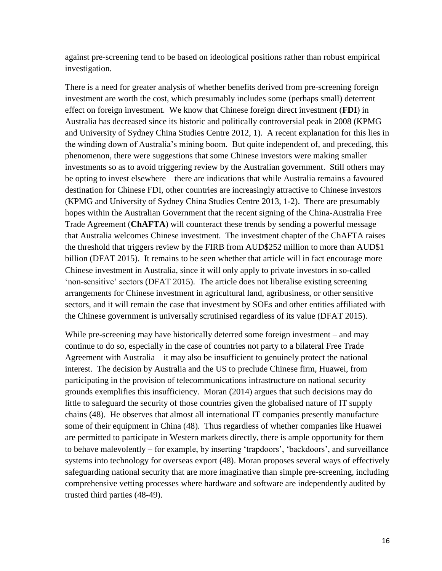against pre-screening tend to be based on ideological positions rather than robust empirical investigation.

There is a need for greater analysis of whether benefits derived from pre-screening foreign investment are worth the cost, which presumably includes some (perhaps small) deterrent effect on foreign investment. We know that Chinese foreign direct investment (**FDI**) in Australia has decreased since its historic and politically controversial peak in 2008 (KPMG and University of Sydney China Studies Centre 2012, 1). A recent explanation for this lies in the winding down of Australia's mining boom. But quite independent of, and preceding, this phenomenon, there were suggestions that some Chinese investors were making smaller investments so as to avoid triggering review by the Australian government. Still others may be opting to invest elsewhere – there are indications that while Australia remains a favoured destination for Chinese FDI, other countries are increasingly attractive to Chinese investors (KPMG and University of Sydney China Studies Centre 2013, 1-2). There are presumably hopes within the Australian Government that the recent signing of the China-Australia Free Trade Agreement (**ChAFTA**) will counteract these trends by sending a powerful message that Australia welcomes Chinese investment. The investment chapter of the ChAFTA raises the threshold that triggers review by the FIRB from AUD\$252 million to more than AUD\$1 billion (DFAT 2015). It remains to be seen whether that article will in fact encourage more Chinese investment in Australia, since it will only apply to private investors in so-called 'non-sensitive' sectors (DFAT 2015). The article does not liberalise existing screening arrangements for Chinese investment in agricultural land, agribusiness, or other sensitive sectors, and it will remain the case that investment by SOEs and other entities affiliated with the Chinese government is universally scrutinised regardless of its value (DFAT 2015).

While pre-screening may have historically deterred some foreign investment – and may continue to do so, especially in the case of countries not party to a bilateral Free Trade Agreement with Australia – it may also be insufficient to genuinely protect the national interest. The decision by Australia and the US to preclude Chinese firm, Huawei, from participating in the provision of telecommunications infrastructure on national security grounds exemplifies this insufficiency. Moran (2014) argues that such decisions may do little to safeguard the security of those countries given the globalised nature of IT supply chains (48). He observes that almost all international IT companies presently manufacture some of their equipment in China (48). Thus regardless of whether companies like Huawei are permitted to participate in Western markets directly, there is ample opportunity for them to behave malevolently – for example, by inserting 'trapdoors', 'backdoors', and surveillance systems into technology for overseas export (48). Moran proposes several ways of effectively safeguarding national security that are more imaginative than simple pre-screening, including comprehensive vetting processes where hardware and software are independently audited by trusted third parties (48-49).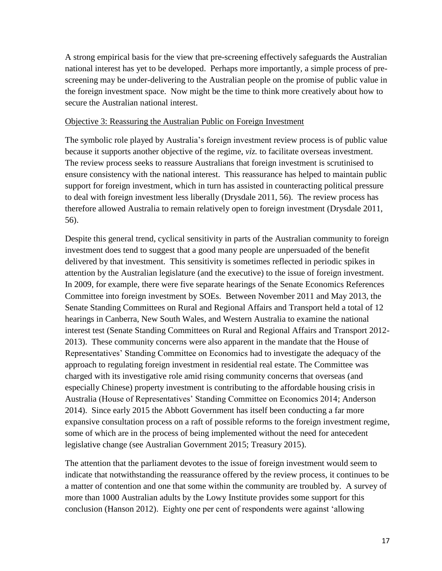A strong empirical basis for the view that pre-screening effectively safeguards the Australian national interest has yet to be developed. Perhaps more importantly, a simple process of prescreening may be under-delivering to the Australian people on the promise of public value in the foreign investment space. Now might be the time to think more creatively about how to secure the Australian national interest.

#### Objective 3: Reassuring the Australian Public on Foreign Investment

The symbolic role played by Australia's foreign investment review process is of public value because it supports another objective of the regime, *viz.* to facilitate overseas investment. The review process seeks to reassure Australians that foreign investment is scrutinised to ensure consistency with the national interest. This reassurance has helped to maintain public support for foreign investment, which in turn has assisted in counteracting political pressure to deal with foreign investment less liberally (Drysdale 2011, 56). The review process has therefore allowed Australia to remain relatively open to foreign investment (Drysdale 2011, 56).

Despite this general trend, cyclical sensitivity in parts of the Australian community to foreign investment does tend to suggest that a good many people are unpersuaded of the benefit delivered by that investment. This sensitivity is sometimes reflected in periodic spikes in attention by the Australian legislature (and the executive) to the issue of foreign investment. In 2009, for example, there were five separate hearings of the Senate Economics References Committee into foreign investment by SOEs. Between November 2011 and May 2013, the Senate Standing Committees on Rural and Regional Affairs and Transport held a total of 12 hearings in Canberra, New South Wales, and Western Australia to examine the national interest test (Senate Standing Committees on Rural and Regional Affairs and Transport 2012- 2013). These community concerns were also apparent in the mandate that the House of Representatives' Standing Committee on Economics had to investigate the adequacy of the approach to regulating foreign investment in residential real estate. The Committee was charged with its investigative role amid rising community concerns that overseas (and especially Chinese) property investment is contributing to the affordable housing crisis in Australia (House of Representatives' Standing Committee on Economics 2014; Anderson 2014). Since early 2015 the Abbott Government has itself been conducting a far more expansive consultation process on a raft of possible reforms to the foreign investment regime, some of which are in the process of being implemented without the need for antecedent legislative change (see Australian Government 2015; Treasury 2015).

The attention that the parliament devotes to the issue of foreign investment would seem to indicate that notwithstanding the reassurance offered by the review process, it continues to be a matter of contention and one that some within the community are troubled by. A survey of more than 1000 Australian adults by the Lowy Institute provides some support for this conclusion (Hanson 2012). Eighty one per cent of respondents were against 'allowing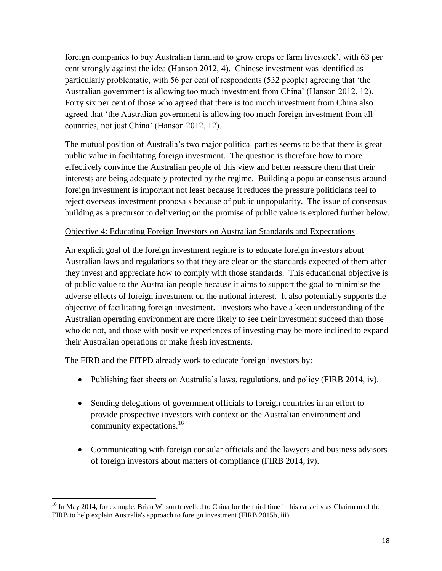foreign companies to buy Australian farmland to grow crops or farm livestock', with 63 per cent strongly against the idea (Hanson 2012, 4). Chinese investment was identified as particularly problematic, with 56 per cent of respondents (532 people) agreeing that 'the Australian government is allowing too much investment from China' (Hanson 2012, 12). Forty six per cent of those who agreed that there is too much investment from China also agreed that 'the Australian government is allowing too much foreign investment from all countries, not just China' (Hanson 2012, 12).

The mutual position of Australia's two major political parties seems to be that there is great public value in facilitating foreign investment. The question is therefore how to more effectively convince the Australian people of this view and better reassure them that their interests are being adequately protected by the regime. Building a popular consensus around foreign investment is important not least because it reduces the pressure politicians feel to reject overseas investment proposals because of public unpopularity. The issue of consensus building as a precursor to delivering on the promise of public value is explored further below.

#### Objective 4: Educating Foreign Investors on Australian Standards and Expectations

An explicit goal of the foreign investment regime is to educate foreign investors about Australian laws and regulations so that they are clear on the standards expected of them after they invest and appreciate how to comply with those standards. This educational objective is of public value to the Australian people because it aims to support the goal to minimise the adverse effects of foreign investment on the national interest. It also potentially supports the objective of facilitating foreign investment. Investors who have a keen understanding of the Australian operating environment are more likely to see their investment succeed than those who do not, and those with positive experiences of investing may be more inclined to expand their Australian operations or make fresh investments.

The FIRB and the FITPD already work to educate foreign investors by:

- Publishing fact sheets on Australia's laws, regulations, and policy (FIRB 2014, iv).
- Sending delegations of government officials to foreign countries in an effort to provide prospective investors with context on the Australian environment and community expectations. 16
- Communicating with foreign consular officials and the lawyers and business advisors of foreign investors about matters of compliance (FIRB 2014, iv).

 $\overline{\phantom{a}}$ <sup>16</sup> In May 2014, for example, Brian Wilson travelled to China for the third time in his capacity as Chairman of the FIRB to help explain Australia's approach to foreign investment (FIRB 2015b, iii).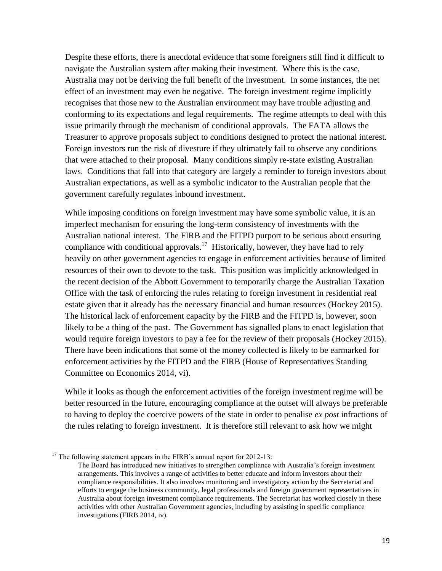Despite these efforts, there is anecdotal evidence that some foreigners still find it difficult to navigate the Australian system after making their investment. Where this is the case, Australia may not be deriving the full benefit of the investment. In some instances, the net effect of an investment may even be negative. The foreign investment regime implicitly recognises that those new to the Australian environment may have trouble adjusting and conforming to its expectations and legal requirements. The regime attempts to deal with this issue primarily through the mechanism of conditional approvals. The FATA allows the Treasurer to approve proposals subject to conditions designed to protect the national interest. Foreign investors run the risk of divesture if they ultimately fail to observe any conditions that were attached to their proposal. Many conditions simply re-state existing Australian laws. Conditions that fall into that category are largely a reminder to foreign investors about Australian expectations, as well as a symbolic indicator to the Australian people that the government carefully regulates inbound investment.

While imposing conditions on foreign investment may have some symbolic value, it is an imperfect mechanism for ensuring the long-term consistency of investments with the Australian national interest. The FIRB and the FITPD purport to be serious about ensuring compliance with conditional approvals.<sup>17</sup> Historically, however, they have had to rely heavily on other government agencies to engage in enforcement activities because of limited resources of their own to devote to the task. This position was implicitly acknowledged in the recent decision of the Abbott Government to temporarily charge the Australian Taxation Office with the task of enforcing the rules relating to foreign investment in residential real estate given that it already has the necessary financial and human resources (Hockey 2015). The historical lack of enforcement capacity by the FIRB and the FITPD is, however, soon likely to be a thing of the past. The Government has signalled plans to enact legislation that would require foreign investors to pay a fee for the review of their proposals (Hockey 2015). There have been indications that some of the money collected is likely to be earmarked for enforcement activities by the FITPD and the FIRB (House of Representatives Standing Committee on Economics 2014, vi).

While it looks as though the enforcement activities of the foreign investment regime will be better resourced in the future, encouraging compliance at the outset will always be preferable to having to deploy the coercive powers of the state in order to penalise *ex post* infractions of the rules relating to foreign investment. It is therefore still relevant to ask how we might

 $\overline{a}$ 

 $17$  The following statement appears in the FIRB's annual report for 2012-13:

The Board has introduced new initiatives to strengthen compliance with Australia's foreign investment arrangements. This involves a range of activities to better educate and inform investors about their compliance responsibilities. It also involves monitoring and investigatory action by the Secretariat and efforts to engage the business community, legal professionals and foreign government representatives in Australia about foreign investment compliance requirements. The Secretariat has worked closely in these activities with other Australian Government agencies, including by assisting in specific compliance investigations (FIRB 2014, iv).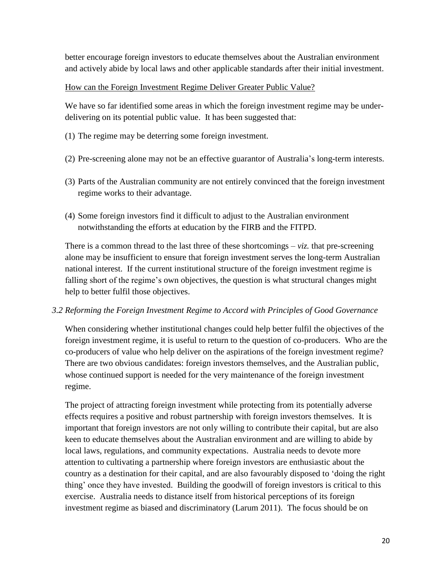better encourage foreign investors to educate themselves about the Australian environment and actively abide by local laws and other applicable standards after their initial investment.

## How can the Foreign Investment Regime Deliver Greater Public Value?

We have so far identified some areas in which the foreign investment regime may be underdelivering on its potential public value. It has been suggested that:

- (1) The regime may be deterring some foreign investment.
- (2) Pre-screening alone may not be an effective guarantor of Australia's long-term interests.
- (3) Parts of the Australian community are not entirely convinced that the foreign investment regime works to their advantage.
- (4) Some foreign investors find it difficult to adjust to the Australian environment notwithstanding the efforts at education by the FIRB and the FITPD.

There is a common thread to the last three of these shortcomings – *viz.* that pre-screening alone may be insufficient to ensure that foreign investment serves the long-term Australian national interest. If the current institutional structure of the foreign investment regime is falling short of the regime's own objectives, the question is what structural changes might help to better fulfil those objectives.

# *3.2 Reforming the Foreign Investment Regime to Accord with Principles of Good Governance*

When considering whether institutional changes could help better fulfil the objectives of the foreign investment regime, it is useful to return to the question of co-producers. Who are the co-producers of value who help deliver on the aspirations of the foreign investment regime? There are two obvious candidates: foreign investors themselves, and the Australian public, whose continued support is needed for the very maintenance of the foreign investment regime.

The project of attracting foreign investment while protecting from its potentially adverse effects requires a positive and robust partnership with foreign investors themselves. It is important that foreign investors are not only willing to contribute their capital, but are also keen to educate themselves about the Australian environment and are willing to abide by local laws, regulations, and community expectations. Australia needs to devote more attention to cultivating a partnership where foreign investors are enthusiastic about the country as a destination for their capital, and are also favourably disposed to 'doing the right thing' once they have invested. Building the goodwill of foreign investors is critical to this exercise. Australia needs to distance itself from historical perceptions of its foreign investment regime as biased and discriminatory (Larum 2011). The focus should be on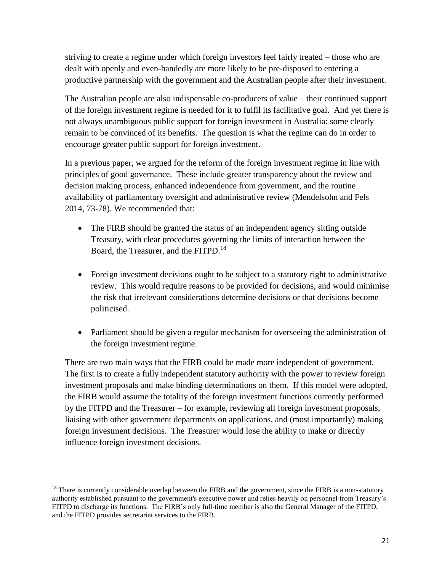striving to create a regime under which foreign investors feel fairly treated – those who are dealt with openly and even-handedly are more likely to be pre-disposed to entering a productive partnership with the government and the Australian people after their investment.

The Australian people are also indispensable co-producers of value – their continued support of the foreign investment regime is needed for it to fulfil its facilitative goal. And yet there is not always unambiguous public support for foreign investment in Australia: some clearly remain to be convinced of its benefits. The question is what the regime can do in order to encourage greater public support for foreign investment.

In a previous paper, we argued for the reform of the foreign investment regime in line with principles of good governance. These include greater transparency about the review and decision making process, enhanced independence from government, and the routine availability of parliamentary oversight and administrative review (Mendelsohn and Fels 2014, 73-78). We recommended that:

- The FIRB should be granted the status of an independent agency sitting outside Treasury, with clear procedures governing the limits of interaction between the Board, the Treasurer, and the FITPD.<sup>18</sup>
- Foreign investment decisions ought to be subject to a statutory right to administrative review. This would require reasons to be provided for decisions, and would minimise the risk that irrelevant considerations determine decisions or that decisions become politicised.
- Parliament should be given a regular mechanism for overseeing the administration of the foreign investment regime.

There are two main ways that the FIRB could be made more independent of government. The first is to create a fully independent statutory authority with the power to review foreign investment proposals and make binding determinations on them. If this model were adopted, the FIRB would assume the totality of the foreign investment functions currently performed by the FITPD and the Treasurer – for example, reviewing all foreign investment proposals, liaising with other government departments on applications, and (most importantly) making foreign investment decisions. The Treasurer would lose the ability to make or directly influence foreign investment decisions.

 $\overline{\phantom{a}}$ 

 $<sup>18</sup>$  There is currently considerable overlap between the FIRB and the government, since the FIRB is a non-statutory</sup> authority established pursuant to the government's executive power and relies heavily on personnel from Treasury's FITPD to discharge its functions. The FIRB's only full-time member is also the General Manager of the FITPD, and the FITPD provides secretariat services to the FIRB.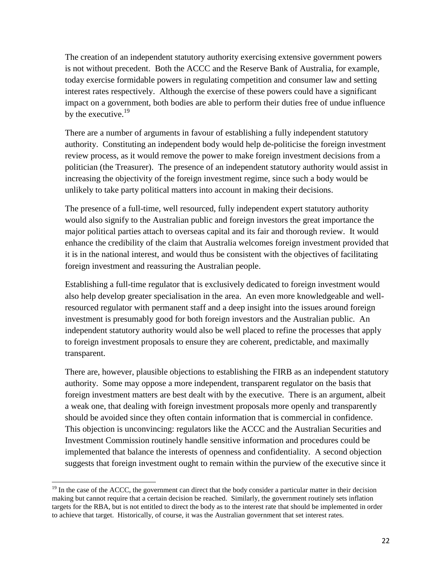The creation of an independent statutory authority exercising extensive government powers is not without precedent. Both the ACCC and the Reserve Bank of Australia, for example, today exercise formidable powers in regulating competition and consumer law and setting interest rates respectively. Although the exercise of these powers could have a significant impact on a government, both bodies are able to perform their duties free of undue influence by the executive.<sup>19</sup>

There are a number of arguments in favour of establishing a fully independent statutory authority. Constituting an independent body would help de-politicise the foreign investment review process, as it would remove the power to make foreign investment decisions from a politician (the Treasurer). The presence of an independent statutory authority would assist in increasing the objectivity of the foreign investment regime, since such a body would be unlikely to take party political matters into account in making their decisions.

The presence of a full-time, well resourced, fully independent expert statutory authority would also signify to the Australian public and foreign investors the great importance the major political parties attach to overseas capital and its fair and thorough review. It would enhance the credibility of the claim that Australia welcomes foreign investment provided that it is in the national interest, and would thus be consistent with the objectives of facilitating foreign investment and reassuring the Australian people.

Establishing a full-time regulator that is exclusively dedicated to foreign investment would also help develop greater specialisation in the area. An even more knowledgeable and wellresourced regulator with permanent staff and a deep insight into the issues around foreign investment is presumably good for both foreign investors and the Australian public. An independent statutory authority would also be well placed to refine the processes that apply to foreign investment proposals to ensure they are coherent, predictable, and maximally transparent.

There are, however, plausible objections to establishing the FIRB as an independent statutory authority. Some may oppose a more independent, transparent regulator on the basis that foreign investment matters are best dealt with by the executive. There is an argument, albeit a weak one, that dealing with foreign investment proposals more openly and transparently should be avoided since they often contain information that is commercial in confidence. This objection is unconvincing: regulators like the ACCC and the Australian Securities and Investment Commission routinely handle sensitive information and procedures could be implemented that balance the interests of openness and confidentiality. A second objection suggests that foreign investment ought to remain within the purview of the executive since it

 $\overline{\phantom{a}}$ 

 $19$  In the case of the ACCC, the government can direct that the body consider a particular matter in their decision making but cannot require that a certain decision be reached. Similarly, the government routinely sets inflation targets for the RBA, but is not entitled to direct the body as to the interest rate that should be implemented in order to achieve that target. Historically, of course, it was the Australian government that set interest rates.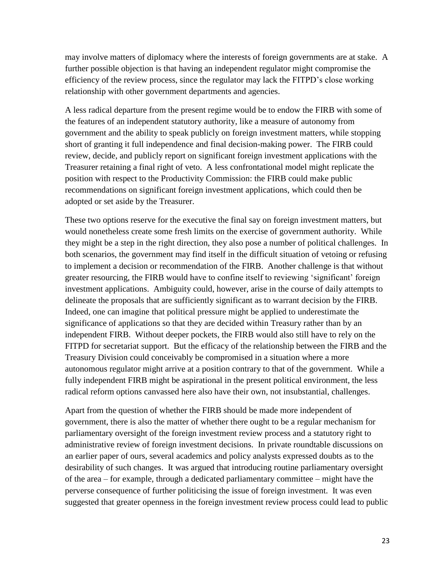may involve matters of diplomacy where the interests of foreign governments are at stake. A further possible objection is that having an independent regulator might compromise the efficiency of the review process, since the regulator may lack the FITPD's close working relationship with other government departments and agencies.

A less radical departure from the present regime would be to endow the FIRB with some of the features of an independent statutory authority, like a measure of autonomy from government and the ability to speak publicly on foreign investment matters, while stopping short of granting it full independence and final decision-making power. The FIRB could review, decide, and publicly report on significant foreign investment applications with the Treasurer retaining a final right of veto. A less confrontational model might replicate the position with respect to the Productivity Commission: the FIRB could make public recommendations on significant foreign investment applications, which could then be adopted or set aside by the Treasurer.

These two options reserve for the executive the final say on foreign investment matters, but would nonetheless create some fresh limits on the exercise of government authority. While they might be a step in the right direction, they also pose a number of political challenges. In both scenarios, the government may find itself in the difficult situation of vetoing or refusing to implement a decision or recommendation of the FIRB. Another challenge is that without greater resourcing, the FIRB would have to confine itself to reviewing 'significant' foreign investment applications. Ambiguity could, however, arise in the course of daily attempts to delineate the proposals that are sufficiently significant as to warrant decision by the FIRB. Indeed, one can imagine that political pressure might be applied to underestimate the significance of applications so that they are decided within Treasury rather than by an independent FIRB. Without deeper pockets, the FIRB would also still have to rely on the FITPD for secretariat support. But the efficacy of the relationship between the FIRB and the Treasury Division could conceivably be compromised in a situation where a more autonomous regulator might arrive at a position contrary to that of the government. While a fully independent FIRB might be aspirational in the present political environment, the less radical reform options canvassed here also have their own, not insubstantial, challenges.

Apart from the question of whether the FIRB should be made more independent of government, there is also the matter of whether there ought to be a regular mechanism for parliamentary oversight of the foreign investment review process and a statutory right to administrative review of foreign investment decisions. In private roundtable discussions on an earlier paper of ours, several academics and policy analysts expressed doubts as to the desirability of such changes. It was argued that introducing routine parliamentary oversight of the area – for example, through a dedicated parliamentary committee – might have the perverse consequence of further politicising the issue of foreign investment. It was even suggested that greater openness in the foreign investment review process could lead to public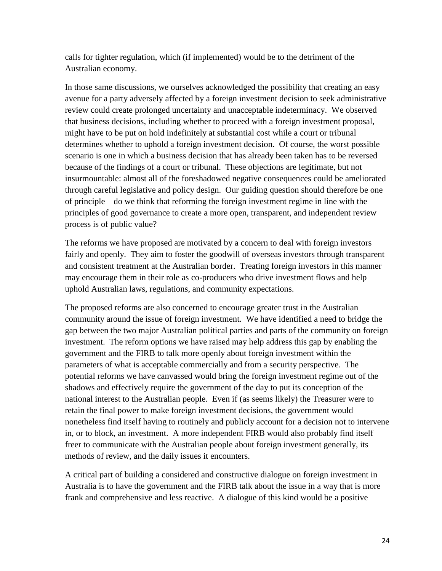calls for tighter regulation, which (if implemented) would be to the detriment of the Australian economy.

In those same discussions, we ourselves acknowledged the possibility that creating an easy avenue for a party adversely affected by a foreign investment decision to seek administrative review could create prolonged uncertainty and unacceptable indeterminacy. We observed that business decisions, including whether to proceed with a foreign investment proposal, might have to be put on hold indefinitely at substantial cost while a court or tribunal determines whether to uphold a foreign investment decision. Of course, the worst possible scenario is one in which a business decision that has already been taken has to be reversed because of the findings of a court or tribunal. These objections are legitimate, but not insurmountable: almost all of the foreshadowed negative consequences could be ameliorated through careful legislative and policy design. Our guiding question should therefore be one of principle – do we think that reforming the foreign investment regime in line with the principles of good governance to create a more open, transparent, and independent review process is of public value?

The reforms we have proposed are motivated by a concern to deal with foreign investors fairly and openly. They aim to foster the goodwill of overseas investors through transparent and consistent treatment at the Australian border. Treating foreign investors in this manner may encourage them in their role as co-producers who drive investment flows and help uphold Australian laws, regulations, and community expectations.

The proposed reforms are also concerned to encourage greater trust in the Australian community around the issue of foreign investment. We have identified a need to bridge the gap between the two major Australian political parties and parts of the community on foreign investment. The reform options we have raised may help address this gap by enabling the government and the FIRB to talk more openly about foreign investment within the parameters of what is acceptable commercially and from a security perspective. The potential reforms we have canvassed would bring the foreign investment regime out of the shadows and effectively require the government of the day to put its conception of the national interest to the Australian people. Even if (as seems likely) the Treasurer were to retain the final power to make foreign investment decisions, the government would nonetheless find itself having to routinely and publicly account for a decision not to intervene in, or to block, an investment. A more independent FIRB would also probably find itself freer to communicate with the Australian people about foreign investment generally, its methods of review, and the daily issues it encounters.

A critical part of building a considered and constructive dialogue on foreign investment in Australia is to have the government and the FIRB talk about the issue in a way that is more frank and comprehensive and less reactive. A dialogue of this kind would be a positive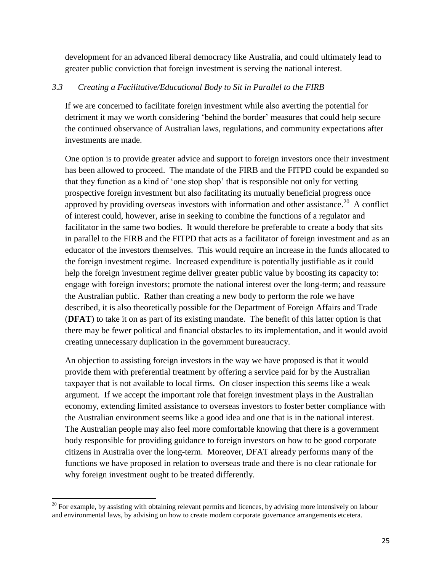development for an advanced liberal democracy like Australia, and could ultimately lead to greater public conviction that foreign investment is serving the national interest.

## *3.3 Creating a Facilitative/Educational Body to Sit in Parallel to the FIRB*

If we are concerned to facilitate foreign investment while also averting the potential for detriment it may we worth considering 'behind the border' measures that could help secure the continued observance of Australian laws, regulations, and community expectations after investments are made.

One option is to provide greater advice and support to foreign investors once their investment has been allowed to proceed. The mandate of the FIRB and the FITPD could be expanded so that they function as a kind of 'one stop shop' that is responsible not only for vetting prospective foreign investment but also facilitating its mutually beneficial progress once approved by providing overseas investors with information and other assistance.<sup>20</sup> A conflict of interest could, however, arise in seeking to combine the functions of a regulator and facilitator in the same two bodies. It would therefore be preferable to create a body that sits in parallel to the FIRB and the FITPD that acts as a facilitator of foreign investment and as an educator of the investors themselves. This would require an increase in the funds allocated to the foreign investment regime. Increased expenditure is potentially justifiable as it could help the foreign investment regime deliver greater public value by boosting its capacity to: engage with foreign investors; promote the national interest over the long-term; and reassure the Australian public. Rather than creating a new body to perform the role we have described, it is also theoretically possible for the Department of Foreign Affairs and Trade (**DFAT**) to take it on as part of its existing mandate. The benefit of this latter option is that there may be fewer political and financial obstacles to its implementation, and it would avoid creating unnecessary duplication in the government bureaucracy.

An objection to assisting foreign investors in the way we have proposed is that it would provide them with preferential treatment by offering a service paid for by the Australian taxpayer that is not available to local firms. On closer inspection this seems like a weak argument. If we accept the important role that foreign investment plays in the Australian economy, extending limited assistance to overseas investors to foster better compliance with the Australian environment seems like a good idea and one that is in the national interest. The Australian people may also feel more comfortable knowing that there is a government body responsible for providing guidance to foreign investors on how to be good corporate citizens in Australia over the long-term. Moreover, DFAT already performs many of the functions we have proposed in relation to overseas trade and there is no clear rationale for why foreign investment ought to be treated differently.

 $\overline{\phantom{a}}$  $20$  For example, by assisting with obtaining relevant permits and licences, by advising more intensively on labour and environmental laws, by advising on how to create modern corporate governance arrangements etcetera.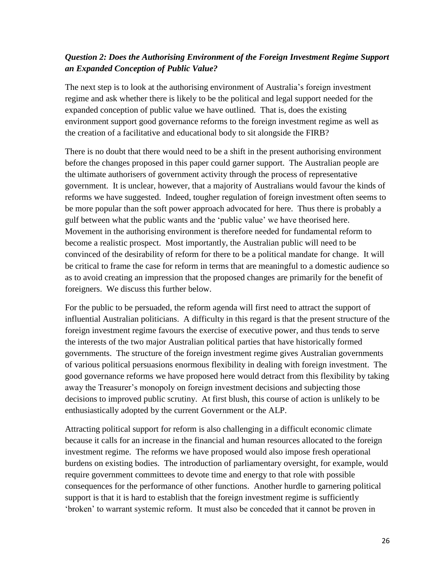# *Question 2: Does the Authorising Environment of the Foreign Investment Regime Support an Expanded Conception of Public Value?*

The next step is to look at the authorising environment of Australia's foreign investment regime and ask whether there is likely to be the political and legal support needed for the expanded conception of public value we have outlined. That is, does the existing environment support good governance reforms to the foreign investment regime as well as the creation of a facilitative and educational body to sit alongside the FIRB?

There is no doubt that there would need to be a shift in the present authorising environment before the changes proposed in this paper could garner support. The Australian people are the ultimate authorisers of government activity through the process of representative government. It is unclear, however, that a majority of Australians would favour the kinds of reforms we have suggested. Indeed, tougher regulation of foreign investment often seems to be more popular than the soft power approach advocated for here. Thus there is probably a gulf between what the public wants and the 'public value' we have theorised here. Movement in the authorising environment is therefore needed for fundamental reform to become a realistic prospect. Most importantly, the Australian public will need to be convinced of the desirability of reform for there to be a political mandate for change. It will be critical to frame the case for reform in terms that are meaningful to a domestic audience so as to avoid creating an impression that the proposed changes are primarily for the benefit of foreigners. We discuss this further below.

For the public to be persuaded, the reform agenda will first need to attract the support of influential Australian politicians. A difficulty in this regard is that the present structure of the foreign investment regime favours the exercise of executive power, and thus tends to serve the interests of the two major Australian political parties that have historically formed governments. The structure of the foreign investment regime gives Australian governments of various political persuasions enormous flexibility in dealing with foreign investment. The good governance reforms we have proposed here would detract from this flexibility by taking away the Treasurer's monopoly on foreign investment decisions and subjecting those decisions to improved public scrutiny. At first blush, this course of action is unlikely to be enthusiastically adopted by the current Government or the ALP.

Attracting political support for reform is also challenging in a difficult economic climate because it calls for an increase in the financial and human resources allocated to the foreign investment regime. The reforms we have proposed would also impose fresh operational burdens on existing bodies. The introduction of parliamentary oversight, for example, would require government committees to devote time and energy to that role with possible consequences for the performance of other functions. Another hurdle to garnering political support is that it is hard to establish that the foreign investment regime is sufficiently 'broken' to warrant systemic reform. It must also be conceded that it cannot be proven in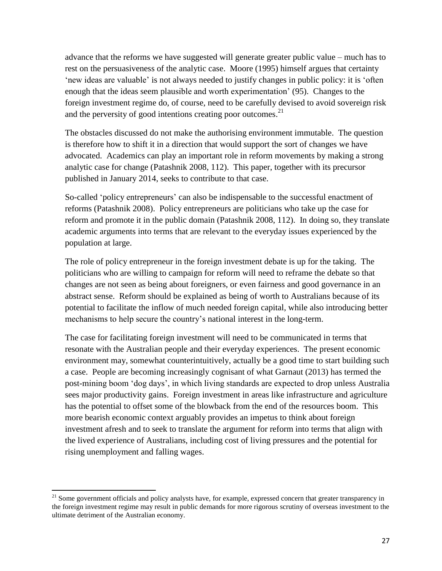advance that the reforms we have suggested will generate greater public value – much has to rest on the persuasiveness of the analytic case. Moore (1995) himself argues that certainty 'new ideas are valuable' is not always needed to justify changes in public policy: it is 'often enough that the ideas seem plausible and worth experimentation' (95). Changes to the foreign investment regime do, of course, need to be carefully devised to avoid sovereign risk and the perversity of good intentions creating poor outcomes.<sup>21</sup>

The obstacles discussed do not make the authorising environment immutable. The question is therefore how to shift it in a direction that would support the sort of changes we have advocated. Academics can play an important role in reform movements by making a strong analytic case for change (Patashnik 2008, 112). This paper, together with its precursor published in January 2014, seeks to contribute to that case.

So-called 'policy entrepreneurs' can also be indispensable to the successful enactment of reforms (Patashnik 2008). Policy entrepreneurs are politicians who take up the case for reform and promote it in the public domain (Patashnik 2008, 112). In doing so, they translate academic arguments into terms that are relevant to the everyday issues experienced by the population at large.

The role of policy entrepreneur in the foreign investment debate is up for the taking. The politicians who are willing to campaign for reform will need to reframe the debate so that changes are not seen as being about foreigners, or even fairness and good governance in an abstract sense. Reform should be explained as being of worth to Australians because of its potential to facilitate the inflow of much needed foreign capital, while also introducing better mechanisms to help secure the country's national interest in the long-term.

The case for facilitating foreign investment will need to be communicated in terms that resonate with the Australian people and their everyday experiences. The present economic environment may, somewhat counterintuitively, actually be a good time to start building such a case. People are becoming increasingly cognisant of what Garnaut (2013) has termed the post-mining boom 'dog days', in which living standards are expected to drop unless Australia sees major productivity gains. Foreign investment in areas like infrastructure and agriculture has the potential to offset some of the blowback from the end of the resources boom. This more bearish economic context arguably provides an impetus to think about foreign investment afresh and to seek to translate the argument for reform into terms that align with the lived experience of Australians, including cost of living pressures and the potential for rising unemployment and falling wages.

 $\overline{\phantom{a}}$ 

<sup>&</sup>lt;sup>21</sup> Some government officials and policy analysts have, for example, expressed concern that greater transparency in the foreign investment regime may result in public demands for more rigorous scrutiny of overseas investment to the ultimate detriment of the Australian economy.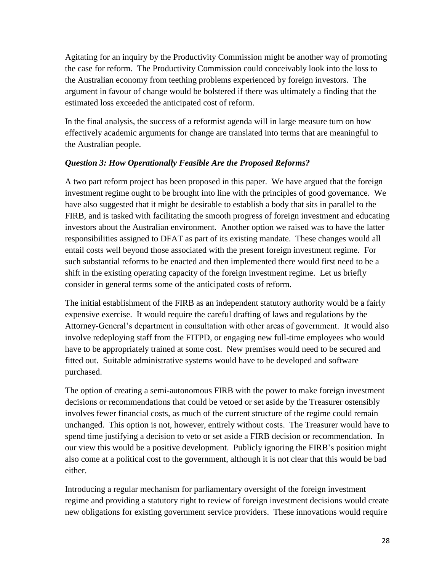Agitating for an inquiry by the Productivity Commission might be another way of promoting the case for reform. The Productivity Commission could conceivably look into the loss to the Australian economy from teething problems experienced by foreign investors. The argument in favour of change would be bolstered if there was ultimately a finding that the estimated loss exceeded the anticipated cost of reform.

In the final analysis, the success of a reformist agenda will in large measure turn on how effectively academic arguments for change are translated into terms that are meaningful to the Australian people.

# *Question 3: How Operationally Feasible Are the Proposed Reforms?*

A two part reform project has been proposed in this paper. We have argued that the foreign investment regime ought to be brought into line with the principles of good governance. We have also suggested that it might be desirable to establish a body that sits in parallel to the FIRB, and is tasked with facilitating the smooth progress of foreign investment and educating investors about the Australian environment. Another option we raised was to have the latter responsibilities assigned to DFAT as part of its existing mandate. These changes would all entail costs well beyond those associated with the present foreign investment regime. For such substantial reforms to be enacted and then implemented there would first need to be a shift in the existing operating capacity of the foreign investment regime. Let us briefly consider in general terms some of the anticipated costs of reform.

The initial establishment of the FIRB as an independent statutory authority would be a fairly expensive exercise. It would require the careful drafting of laws and regulations by the Attorney-General's department in consultation with other areas of government. It would also involve redeploying staff from the FITPD, or engaging new full-time employees who would have to be appropriately trained at some cost. New premises would need to be secured and fitted out. Suitable administrative systems would have to be developed and software purchased.

The option of creating a semi-autonomous FIRB with the power to make foreign investment decisions or recommendations that could be vetoed or set aside by the Treasurer ostensibly involves fewer financial costs, as much of the current structure of the regime could remain unchanged. This option is not, however, entirely without costs. The Treasurer would have to spend time justifying a decision to veto or set aside a FIRB decision or recommendation. In our view this would be a positive development. Publicly ignoring the FIRB's position might also come at a political cost to the government, although it is not clear that this would be bad either.

Introducing a regular mechanism for parliamentary oversight of the foreign investment regime and providing a statutory right to review of foreign investment decisions would create new obligations for existing government service providers. These innovations would require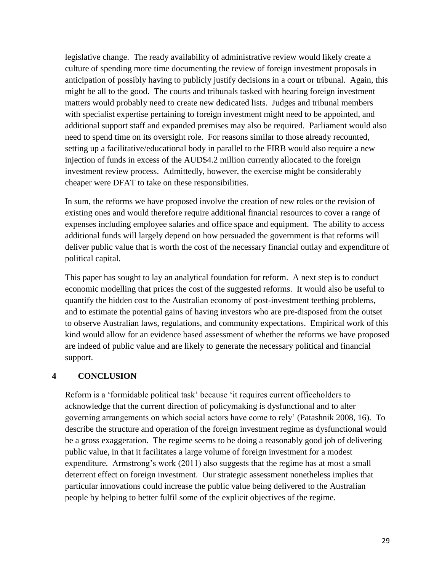legislative change. The ready availability of administrative review would likely create a culture of spending more time documenting the review of foreign investment proposals in anticipation of possibly having to publicly justify decisions in a court or tribunal. Again, this might be all to the good. The courts and tribunals tasked with hearing foreign investment matters would probably need to create new dedicated lists. Judges and tribunal members with specialist expertise pertaining to foreign investment might need to be appointed, and additional support staff and expanded premises may also be required. Parliament would also need to spend time on its oversight role. For reasons similar to those already recounted, setting up a facilitative/educational body in parallel to the FIRB would also require a new injection of funds in excess of the AUD\$4.2 million currently allocated to the foreign investment review process. Admittedly, however, the exercise might be considerably cheaper were DFAT to take on these responsibilities.

In sum, the reforms we have proposed involve the creation of new roles or the revision of existing ones and would therefore require additional financial resources to cover a range of expenses including employee salaries and office space and equipment. The ability to access additional funds will largely depend on how persuaded the government is that reforms will deliver public value that is worth the cost of the necessary financial outlay and expenditure of political capital.

This paper has sought to lay an analytical foundation for reform. A next step is to conduct economic modelling that prices the cost of the suggested reforms. It would also be useful to quantify the hidden cost to the Australian economy of post-investment teething problems, and to estimate the potential gains of having investors who are pre-disposed from the outset to observe Australian laws, regulations, and community expectations. Empirical work of this kind would allow for an evidence based assessment of whether the reforms we have proposed are indeed of public value and are likely to generate the necessary political and financial support.

## **4 CONCLUSION**

Reform is a 'formidable political task' because 'it requires current officeholders to acknowledge that the current direction of policymaking is dysfunctional and to alter governing arrangements on which social actors have come to rely' (Patashnik 2008, 16). To describe the structure and operation of the foreign investment regime as dysfunctional would be a gross exaggeration. The regime seems to be doing a reasonably good job of delivering public value, in that it facilitates a large volume of foreign investment for a modest expenditure. Armstrong's work (2011) also suggests that the regime has at most a small deterrent effect on foreign investment. Our strategic assessment nonetheless implies that particular innovations could increase the public value being delivered to the Australian people by helping to better fulfil some of the explicit objectives of the regime.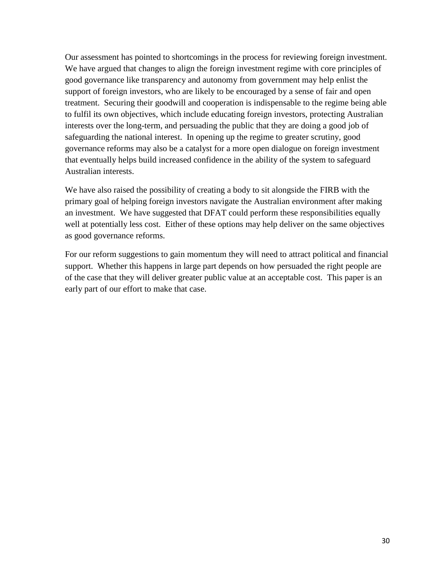Our assessment has pointed to shortcomings in the process for reviewing foreign investment. We have argued that changes to align the foreign investment regime with core principles of good governance like transparency and autonomy from government may help enlist the support of foreign investors, who are likely to be encouraged by a sense of fair and open treatment. Securing their goodwill and cooperation is indispensable to the regime being able to fulfil its own objectives, which include educating foreign investors, protecting Australian interests over the long-term, and persuading the public that they are doing a good job of safeguarding the national interest. In opening up the regime to greater scrutiny, good governance reforms may also be a catalyst for a more open dialogue on foreign investment that eventually helps build increased confidence in the ability of the system to safeguard Australian interests.

We have also raised the possibility of creating a body to sit alongside the FIRB with the primary goal of helping foreign investors navigate the Australian environment after making an investment. We have suggested that DFAT could perform these responsibilities equally well at potentially less cost. Either of these options may help deliver on the same objectives as good governance reforms.

For our reform suggestions to gain momentum they will need to attract political and financial support. Whether this happens in large part depends on how persuaded the right people are of the case that they will deliver greater public value at an acceptable cost. This paper is an early part of our effort to make that case.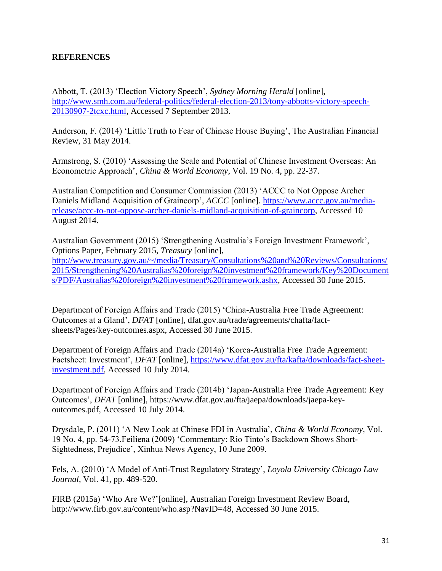## **REFERENCES**

Abbott, T. (2013) 'Election Victory Speech', *Sydney Morning Herald* [online], [http://www.smh.com.au/federal-politics/federal-election-2013/tony-abbotts-victory-speech-](http://www.smh.com.au/federal-politics/federal-election-2013/tony-abbotts-victory-speech-20130907-2tcxc.html)[20130907-2tcxc.html,](http://www.smh.com.au/federal-politics/federal-election-2013/tony-abbotts-victory-speech-20130907-2tcxc.html) Accessed 7 September 2013.

Anderson, F. (2014) 'Little Truth to Fear of Chinese House Buying', The Australian Financial Review, 31 May 2014.

Armstrong, S. (2010) 'Assessing the Scale and Potential of Chinese Investment Overseas: An Econometric Approach', *China & World Economy*, Vol. 19 No. 4, pp. 22-37.

Australian Competition and Consumer Commission (2013) 'ACCC to Not Oppose Archer Daniels Midland Acquisition of Graincorp', *ACCC* [online]. [https://www.accc.gov.au/media](https://www.accc.gov.au/media-release/accc-to-not-oppose-archer-daniels-midland-acquisition-of-graincorp)[release/accc-to-not-oppose-archer-daniels-midland-acquisition-of-graincorp,](https://www.accc.gov.au/media-release/accc-to-not-oppose-archer-daniels-midland-acquisition-of-graincorp) Accessed 10 August 2014.

Australian Government (2015) 'Strengthening Australia's Foreign Investment Framework', Options Paper, February 2015, *Treasury* [online],

[http://www.treasury.gov.au/~/media/Treasury/Consultations%20and%20Reviews/Consultations/](http://www.treasury.gov.au/~/media/Treasury/Consultations%20and%20Reviews/Consultations/2015/Strengthening%20Australias%20foreign%20investment%20framework/Key%20Documents/PDF/Australias%20foreign%20investment%20framework.ashx) [2015/Strengthening%20Australias%20foreign%20investment%20framework/Key%20Document](http://www.treasury.gov.au/~/media/Treasury/Consultations%20and%20Reviews/Consultations/2015/Strengthening%20Australias%20foreign%20investment%20framework/Key%20Documents/PDF/Australias%20foreign%20investment%20framework.ashx) [s/PDF/Australias%20foreign%20investment%20framework.ashx,](http://www.treasury.gov.au/~/media/Treasury/Consultations%20and%20Reviews/Consultations/2015/Strengthening%20Australias%20foreign%20investment%20framework/Key%20Documents/PDF/Australias%20foreign%20investment%20framework.ashx) Accessed 30 June 2015.

Department of Foreign Affairs and Trade (2015) 'China-Australia Free Trade Agreement: Outcomes at a Gland', *DFAT* [online], dfat.gov.au/trade/agreements/chafta/factsheets/Pages/key-outcomes.aspx, Accessed 30 June 2015.

Department of Foreign Affairs and Trade (2014a) 'Korea-Australia Free Trade Agreement: Factsheet: Investment', *DFAT* [online], [https://www.dfat.gov.au/fta/kafta/downloads/fact-sheet](https://www.dfat.gov.au/fta/kafta/downloads/fact-sheet-investment.pdf)[investment.pdf,](https://www.dfat.gov.au/fta/kafta/downloads/fact-sheet-investment.pdf) Accessed 10 July 2014.

Department of Foreign Affairs and Trade (2014b) 'Japan-Australia Free Trade Agreement: Key Outcomes', *DFAT* [online], https://www.dfat.gov.au/fta/jaepa/downloads/jaepa-keyoutcomes.pdf, Accessed 10 July 2014.

Drysdale, P. (2011) 'A New Look at Chinese FDI in Australia', *China & World Economy*, Vol. 19 No. 4, pp. 54-73.Feiliena (2009) 'Commentary: Rio Tinto's Backdown Shows Short-Sightedness, Prejudice', Xinhua News Agency, 10 June 2009.

Fels, A. (2010) 'A Model of Anti-Trust Regulatory Strategy', *Loyola University Chicago Law Journal*, Vol. 41, pp. 489-520.

FIRB (2015a) 'Who Are We?'[online], Australian Foreign Investment Review Board, http://www.firb.gov.au/content/who.asp?NavID=48, Accessed 30 June 2015.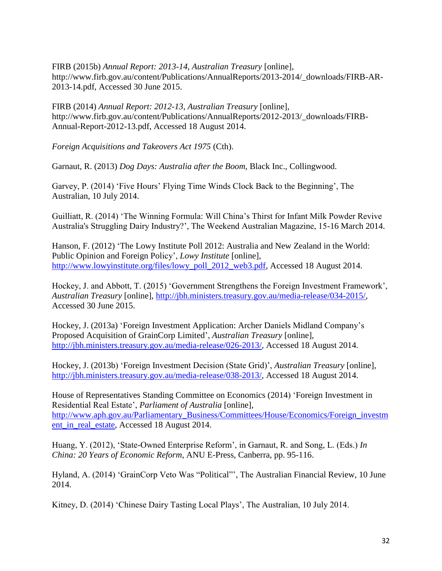FIRB (2015b) *Annual Report: 2013-14*, *Australian Treasury* [online], http://www.firb.gov.au/content/Publications/AnnualReports/2013-2014/\_downloads/FIRB-AR-2013-14.pdf, Accessed 30 June 2015.

FIRB (2014) *Annual Report: 2012-13*, *Australian Treasury* [online], http://www.firb.gov.au/content/Publications/AnnualReports/2012-2013/\_downloads/FIRB-Annual-Report-2012-13.pdf, Accessed 18 August 2014.

*Foreign Acquisitions and Takeovers Act 1975* (Cth).

Garnaut, R. (2013) *Dog Days: Australia after the Boom*, Black Inc., Collingwood.

Garvey, P. (2014) 'Five Hours' Flying Time Winds Clock Back to the Beginning', The Australian, 10 July 2014.

Guilliatt, R. (2014) 'The Winning Formula: Will China's Thirst for Infant Milk Powder Revive Australia's Struggling Dairy Industry?', The Weekend Australian Magazine, 15-16 March 2014.

Hanson, F. (2012) 'The Lowy Institute Poll 2012: Australia and New Zealand in the World: Public Opinion and Foreign Policy', *Lowy Institute* [online], [http://www.lowyinstitute.org/files/lowy\\_poll\\_2012\\_web3.pdf,](http://www.lowyinstitute.org/files/lowy_poll_2012_web3.pdf) Accessed 18 August 2014.

Hockey, J. and Abbott, T. (2015) 'Government Strengthens the Foreign Investment Framework', *Australian Treasury* [online], [http://jbh.ministers.treasury.gov.au/media-release/034-2015/,](http://jbh.ministers.treasury.gov.au/media-release/034-2015/) Accessed 30 June 2015.

Hockey, J. (2013a) 'Foreign Investment Application: Archer Daniels Midland Company's Proposed Acquisition of GrainCorp Limited', *Australian Treasury* [online], [http://jbh.ministers.treasury.gov.au/media-release/026-2013/,](http://jbh.ministers.treasury.gov.au/media-release/026-2013/) Accessed 18 August 2014.

Hockey, J. (2013b) 'Foreign Investment Decision (State Grid)', *Australian Treasury* [online], [http://jbh.ministers.treasury.gov.au/media-release/038-2013/,](http://jbh.ministers.treasury.gov.au/media-release/038-2013/) Accessed 18 August 2014.

House of Representatives Standing Committee on Economics (2014) 'Foreign Investment in Residential Real Estate', *Parliament of Australia* [online], [http://www.aph.gov.au/Parliamentary\\_Business/Committees/House/Economics/Foreign\\_investm](http://www.aph.gov.au/Parliamentary_Business/Committees/House/Economics/Foreign_investment_in_real_estate) ent in real estate, Accessed 18 August 2014.

Huang, Y. (2012), 'State-Owned Enterprise Reform', in Garnaut, R. and Song, L. (Eds.) *In China: 20 Years of Economic Reform*, ANU E-Press, Canberra, pp. 95-116.

Hyland, A. (2014) 'GrainCorp Veto Was "Political"', The Australian Financial Review, 10 June 2014.

Kitney, D. (2014) 'Chinese Dairy Tasting Local Plays', The Australian, 10 July 2014.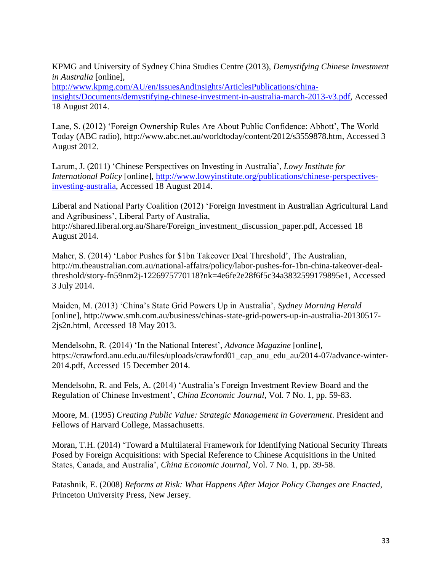KPMG and University of Sydney China Studies Centre (2013), *Demystifying Chinese Investment in Australia* [online],

[http://www.kpmg.com/AU/en/IssuesAndInsights/ArticlesPublications/china](http://www.kpmg.com/AU/en/IssuesAndInsights/ArticlesPublications/china-insights/Documents/demystifying-chinese-investment-in-australia-march-2013-v3.pdf)[insights/Documents/demystifying-chinese-investment-in-australia-march-2013-v3.pdf,](http://www.kpmg.com/AU/en/IssuesAndInsights/ArticlesPublications/china-insights/Documents/demystifying-chinese-investment-in-australia-march-2013-v3.pdf) Accessed 18 August 2014.

Lane, S. (2012) 'Foreign Ownership Rules Are About Public Confidence: Abbott', The World Today (ABC radio), [http://www.abc.net.au/worldtoday/content/2012/s3559878.htm,](http://www.abc.net.au/worldtoday/content/2012/s3559878.htm) Accessed 3 August 2012.

Larum, J. (2011) 'Chinese Perspectives on Investing in Australia', *Lowy Institute for International Policy* [online], [http://www.lowyinstitute.org/publications/chinese-perspectives](http://www.lowyinstitute.org/publications/chinese-perspectives-investing-australia)[investing-australia,](http://www.lowyinstitute.org/publications/chinese-perspectives-investing-australia) Accessed 18 August 2014.

Liberal and National Party Coalition (2012) 'Foreign Investment in Australian Agricultural Land and Agribusiness', Liberal Party of Australia,

http://shared.liberal.org.au/Share/Foreign\_investment\_discussion\_paper.pdf, Accessed 18 August 2014.

Maher, S. (2014) 'Labor Pushes for \$1bn Takeover Deal Threshold', The Australian, [http://m.theaustralian.com.au/national-affairs/policy/labor-pushes-for-1bn-china-takeover-deal](http://m.theaustralian.com.au/national-affairs/policy/labor-pushes-for-1bn-china-takeover-deal-threshold/story-fn59nm2j-1226975770118?nk=4e6fe2e28f6f5c34a3832599179895e1)[threshold/story-fn59nm2j-1226975770118?nk=4e6fe2e28f6f5c34a3832599179895e1,](http://m.theaustralian.com.au/national-affairs/policy/labor-pushes-for-1bn-china-takeover-deal-threshold/story-fn59nm2j-1226975770118?nk=4e6fe2e28f6f5c34a3832599179895e1) Accessed 3 July 2014.

Maiden, M. (2013) 'China's State Grid Powers Up in Australia', *Sydney Morning Herald* [online], [http://www.smh.com.au/business/chinas-state-grid-powers-up-in-australia-20130517-](http://www.smh.com.au/business/chinas-state-grid-powers-up-in-australia-20130517-2js2n.html) [2js2n.html,](http://www.smh.com.au/business/chinas-state-grid-powers-up-in-australia-20130517-2js2n.html) Accessed 18 May 2013.

Mendelsohn, R. (2014) 'In the National Interest', *Advance Magazine* [online], [https://crawford.anu.edu.au/files/uploads/crawford01\\_cap\\_anu\\_edu\\_au/2014-07/advance-winter-](https://crawford.anu.edu.au/files/uploads/crawford01_cap_anu_edu_au/2014-07/advance-winter-2014.pdf)[2014.pdf,](https://crawford.anu.edu.au/files/uploads/crawford01_cap_anu_edu_au/2014-07/advance-winter-2014.pdf) Accessed 15 December 2014.

Mendelsohn, R. and Fels, A. (2014) 'Australia's Foreign Investment Review Board and the Regulation of Chinese Investment', *China Economic Journal*, Vol. 7 No. 1, pp. 59-83.

Moore, M. (1995) *Creating Public Value: Strategic Management in Government*. President and Fellows of Harvard College, Massachusetts.

Moran, T.H. (2014) 'Toward a Multilateral Framework for Identifying National Security Threats Posed by Foreign Acquisitions: with Special Reference to Chinese Acquisitions in the United States, Canada, and Australia', *China Economic Journal*, Vol. 7 No. 1, pp. 39-58.

Patashnik, E. (2008) *Reforms at Risk: What Happens After Major Policy Changes are Enacted*, Princeton University Press, New Jersey.